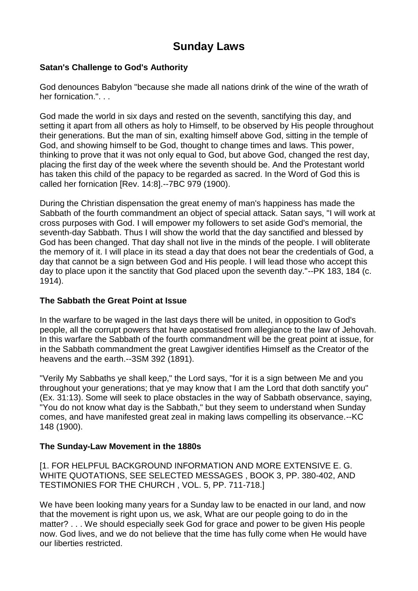# **Sunday Laws**

# **Satan's Challenge to God's Authority**

God denounces Babylon "because she made all nations drink of the wine of the wrath of her fornication.". . .

God made the world in six days and rested on the seventh, sanctifying this day, and setting it apart from all others as holy to Himself, to be observed by His people throughout their generations. But the man of sin, exalting himself above God, sitting in the temple of God, and showing himself to be God, thought to change times and laws. This power, thinking to prove that it was not only equal to God, but above God, changed the rest day, placing the first day of the week where the seventh should be. And the Protestant world has taken this child of the papacy to be regarded as sacred. In the Word of God this is called her fornication [Rev. 14:8].--7BC 979 (1900).

During the Christian dispensation the great enemy of man's happiness has made the Sabbath of the fourth commandment an object of special attack. Satan says, "I will work at cross purposes with God. I will empower my followers to set aside God's memorial, the seventh-day Sabbath. Thus I will show the world that the day sanctified and blessed by God has been changed. That day shall not live in the minds of the people. I will obliterate the memory of it. I will place in its stead a day that does not bear the credentials of God, a day that cannot be a sign between God and His people. I will lead those who accept this day to place upon it the sanctity that God placed upon the seventh day."--PK 183, 184 (c. 1914).

# **The Sabbath the Great Point at Issue**

In the warfare to be waged in the last days there will be united, in opposition to God's people, all the corrupt powers that have apostatised from allegiance to the law of Jehovah. In this warfare the Sabbath of the fourth commandment will be the great point at issue, for in the Sabbath commandment the great Lawgiver identifies Himself as the Creator of the heavens and the earth.--3SM 392 (1891).

"Verily My Sabbaths ye shall keep," the Lord says, "for it is a sign between Me and you throughout your generations; that ye may know that I am the Lord that doth sanctify you" (Ex. 31:13). Some will seek to place obstacles in the way of Sabbath observance, saying, "You do not know what day is the Sabbath," but they seem to understand when Sunday comes, and have manifested great zeal in making laws compelling its observance.--KC 148 (1900).

# **The Sunday-Law Movement in the 1880s**

[1. FOR HELPFUL BACKGROUND INFORMATION AND MORE EXTENSIVE E. G. WHITE QUOTATIONS, SEE SELECTED MESSAGES , BOOK 3, PP. 380-402, AND TESTIMONIES FOR THE CHURCH , VOL. 5, PP. 711-718.]

We have been looking many years for a Sunday law to be enacted in our land, and now that the movement is right upon us, we ask, What are our people going to do in the matter? . . . We should especially seek God for grace and power to be given His people now. God lives, and we do not believe that the time has fully come when He would have our liberties restricted.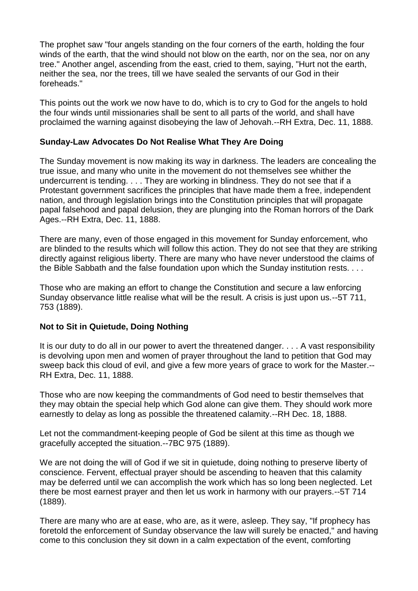The prophet saw "four angels standing on the four corners of the earth, holding the four winds of the earth, that the wind should not blow on the earth, nor on the sea, nor on any tree." Another angel, ascending from the east, cried to them, saying, "Hurt not the earth, neither the sea, nor the trees, till we have sealed the servants of our God in their foreheads."

This points out the work we now have to do, which is to cry to God for the angels to hold the four winds until missionaries shall be sent to all parts of the world, and shall have proclaimed the warning against disobeying the law of Jehovah.--RH Extra, Dec. 11, 1888.

### **Sunday-Law Advocates Do Not Realise What They Are Doing**

The Sunday movement is now making its way in darkness. The leaders are concealing the true issue, and many who unite in the movement do not themselves see whither the undercurrent is tending. . . . They are working in blindness. They do not see that if a Protestant government sacrifices the principles that have made them a free, independent nation, and through legislation brings into the Constitution principles that will propagate papal falsehood and papal delusion, they are plunging into the Roman horrors of the Dark Ages.--RH Extra, Dec. 11, 1888.

There are many, even of those engaged in this movement for Sunday enforcement, who are blinded to the results which will follow this action. They do not see that they are striking directly against religious liberty. There are many who have never understood the claims of the Bible Sabbath and the false foundation upon which the Sunday institution rests. . . .

Those who are making an effort to change the Constitution and secure a law enforcing Sunday observance little realise what will be the result. A crisis is just upon us.--5T 711, 753 (1889).

#### **Not to Sit in Quietude, Doing Nothing**

It is our duty to do all in our power to avert the threatened danger. . . . A vast responsibility is devolving upon men and women of prayer throughout the land to petition that God may sweep back this cloud of evil, and give a few more years of grace to work for the Master.-- RH Extra, Dec. 11, 1888.

Those who are now keeping the commandments of God need to bestir themselves that they may obtain the special help which God alone can give them. They should work more earnestly to delay as long as possible the threatened calamity.--RH Dec. 18, 1888.

Let not the commandment-keeping people of God be silent at this time as though we gracefully accepted the situation.--7BC 975 (1889).

We are not doing the will of God if we sit in quietude, doing nothing to preserve liberty of conscience. Fervent, effectual prayer should be ascending to heaven that this calamity may be deferred until we can accomplish the work which has so long been neglected. Let there be most earnest prayer and then let us work in harmony with our prayers.--5T 714 (1889).

There are many who are at ease, who are, as it were, asleep. They say, "If prophecy has foretold the enforcement of Sunday observance the law will surely be enacted," and having come to this conclusion they sit down in a calm expectation of the event, comforting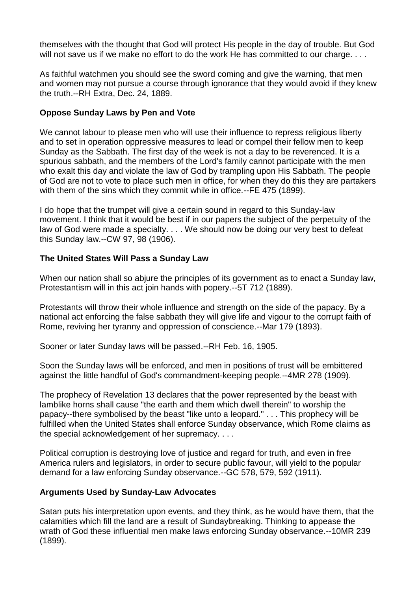themselves with the thought that God will protect His people in the day of trouble. But God will not save us if we make no effort to do the work He has committed to our charge. . . .

As faithful watchmen you should see the sword coming and give the warning, that men and women may not pursue a course through ignorance that they would avoid if they knew the truth.--RH Extra, Dec. 24, 1889.

## **Oppose Sunday Laws by Pen and Vote**

We cannot labour to please men who will use their influence to repress religious liberty and to set in operation oppressive measures to lead or compel their fellow men to keep Sunday as the Sabbath. The first day of the week is not a day to be reverenced. It is a spurious sabbath, and the members of the Lord's family cannot participate with the men who exalt this day and violate the law of God by trampling upon His Sabbath. The people of God are not to vote to place such men in office, for when they do this they are partakers with them of the sins which they commit while in office.--FE 475 (1899).

I do hope that the trumpet will give a certain sound in regard to this Sunday-law movement. I think that it would be best if in our papers the subject of the perpetuity of the law of God were made a specialty. . . . We should now be doing our very best to defeat this Sunday law.--CW 97, 98 (1906).

## **The United States Will Pass a Sunday Law**

When our nation shall so abjure the principles of its government as to enact a Sunday law, Protestantism will in this act join hands with popery.--5T 712 (1889).

Protestants will throw their whole influence and strength on the side of the papacy. By a national act enforcing the false sabbath they will give life and vigour to the corrupt faith of Rome, reviving her tyranny and oppression of conscience.--Mar 179 (1893).

Sooner or later Sunday laws will be passed.--RH Feb. 16, 1905.

Soon the Sunday laws will be enforced, and men in positions of trust will be embittered against the little handful of God's commandment-keeping people.--4MR 278 (1909).

The prophecy of Revelation 13 declares that the power represented by the beast with lamblike horns shall cause "the earth and them which dwell therein" to worship the papacy--there symbolised by the beast "like unto a leopard." . . . This prophecy will be fulfilled when the United States shall enforce Sunday observance, which Rome claims as the special acknowledgement of her supremacy. . . .

Political corruption is destroying love of justice and regard for truth, and even in free America rulers and legislators, in order to secure public favour, will yield to the popular demand for a law enforcing Sunday observance.--GC 578, 579, 592 (1911).

#### **Arguments Used by Sunday-Law Advocates**

Satan puts his interpretation upon events, and they think, as he would have them, that the calamities which fill the land are a result of Sundaybreaking. Thinking to appease the wrath of God these influential men make laws enforcing Sunday observance.--10MR 239 (1899).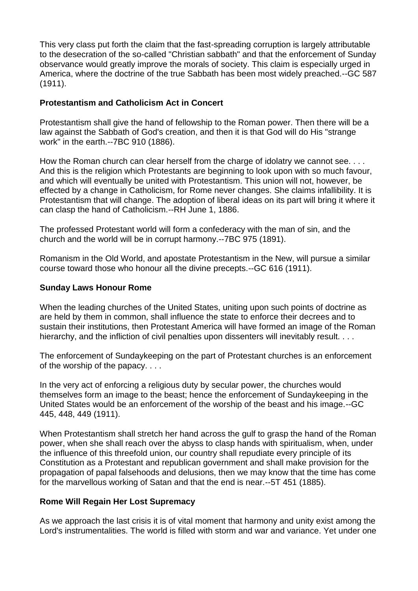This very class put forth the claim that the fast-spreading corruption is largely attributable to the desecration of the so-called "Christian sabbath" and that the enforcement of Sunday observance would greatly improve the morals of society. This claim is especially urged in America, where the doctrine of the true Sabbath has been most widely preached.--GC 587 (1911).

## **Protestantism and Catholicism Act in Concert**

Protestantism shall give the hand of fellowship to the Roman power. Then there will be a law against the Sabbath of God's creation, and then it is that God will do His "strange work" in the earth.--7BC 910 (1886).

How the Roman church can clear herself from the charge of idolatry we cannot see. . . . And this is the religion which Protestants are beginning to look upon with so much favour, and which will eventually be united with Protestantism. This union will not, however, be effected by a change in Catholicism, for Rome never changes. She claims infallibility. It is Protestantism that will change. The adoption of liberal ideas on its part will bring it where it can clasp the hand of Catholicism.--RH June 1, 1886.

The professed Protestant world will form a confederacy with the man of sin, and the church and the world will be in corrupt harmony.--7BC 975 (1891).

Romanism in the Old World, and apostate Protestantism in the New, will pursue a similar course toward those who honour all the divine precepts.--GC 616 (1911).

#### **Sunday Laws Honour Rome**

When the leading churches of the United States, uniting upon such points of doctrine as are held by them in common, shall influence the state to enforce their decrees and to sustain their institutions, then Protestant America will have formed an image of the Roman hierarchy, and the infliction of civil penalties upon dissenters will inevitably result. . . .

The enforcement of Sundaykeeping on the part of Protestant churches is an enforcement of the worship of the papacy. . . .

In the very act of enforcing a religious duty by secular power, the churches would themselves form an image to the beast; hence the enforcement of Sundaykeeping in the United States would be an enforcement of the worship of the beast and his image.--GC 445, 448, 449 (1911).

When Protestantism shall stretch her hand across the gulf to grasp the hand of the Roman power, when she shall reach over the abyss to clasp hands with spiritualism, when, under the influence of this threefold union, our country shall repudiate every principle of its Constitution as a Protestant and republican government and shall make provision for the propagation of papal falsehoods and delusions, then we may know that the time has come for the marvellous working of Satan and that the end is near.--5T 451 (1885).

# **Rome Will Regain Her Lost Supremacy**

As we approach the last crisis it is of vital moment that harmony and unity exist among the Lord's instrumentalities. The world is filled with storm and war and variance. Yet under one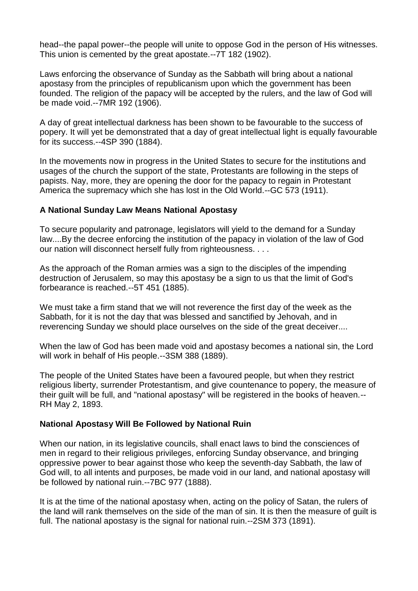head--the papal power--the people will unite to oppose God in the person of His witnesses. This union is cemented by the great apostate.--7T 182 (1902).

Laws enforcing the observance of Sunday as the Sabbath will bring about a national apostasy from the principles of republicanism upon which the government has been founded. The religion of the papacy will be accepted by the rulers, and the law of God will be made void.--7MR 192 (1906).

A day of great intellectual darkness has been shown to be favourable to the success of popery. It will yet be demonstrated that a day of great intellectual light is equally favourable for its success.--4SP 390 (1884).

In the movements now in progress in the United States to secure for the institutions and usages of the church the support of the state, Protestants are following in the steps of papists. Nay, more, they are opening the door for the papacy to regain in Protestant America the supremacy which she has lost in the Old World.--GC 573 (1911).

#### **A National Sunday Law Means National Apostasy**

To secure popularity and patronage, legislators will yield to the demand for a Sunday law....By the decree enforcing the institution of the papacy in violation of the law of God our nation will disconnect herself fully from righteousness. . . .

As the approach of the Roman armies was a sign to the disciples of the impending destruction of Jerusalem, so may this apostasy be a sign to us that the limit of God's forbearance is reached.--5T 451 (1885).

We must take a firm stand that we will not reverence the first day of the week as the Sabbath, for it is not the day that was blessed and sanctified by Jehovah, and in reverencing Sunday we should place ourselves on the side of the great deceiver....

When the law of God has been made void and apostasy becomes a national sin, the Lord will work in behalf of His people.--3SM 388 (1889).

The people of the United States have been a favoured people, but when they restrict religious liberty, surrender Protestantism, and give countenance to popery, the measure of their guilt will be full, and "national apostasy" will be registered in the books of heaven.-- RH May 2, 1893.

# **National Apostasy Will Be Followed by National Ruin**

When our nation, in its legislative councils, shall enact laws to bind the consciences of men in regard to their religious privileges, enforcing Sunday observance, and bringing oppressive power to bear against those who keep the seventh-day Sabbath, the law of God will, to all intents and purposes, be made void in our land, and national apostasy will be followed by national ruin.--7BC 977 (1888).

It is at the time of the national apostasy when, acting on the policy of Satan, the rulers of the land will rank themselves on the side of the man of sin. It is then the measure of guilt is full. The national apostasy is the signal for national ruin.--2SM 373 (1891).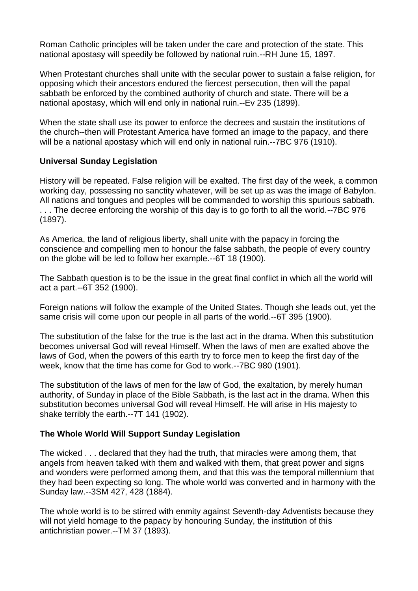Roman Catholic principles will be taken under the care and protection of the state. This national apostasy will speedily be followed by national ruin.--RH June 15, 1897.

When Protestant churches shall unite with the secular power to sustain a false religion, for opposing which their ancestors endured the fiercest persecution, then will the papal sabbath be enforced by the combined authority of church and state. There will be a national apostasy, which will end only in national ruin.--Ev 235 (1899).

When the state shall use its power to enforce the decrees and sustain the institutions of the church--then will Protestant America have formed an image to the papacy, and there will be a national apostasy which will end only in national ruin.--7BC 976 (1910).

## **Universal Sunday Legislation**

History will be repeated. False religion will be exalted. The first day of the week, a common working day, possessing no sanctity whatever, will be set up as was the image of Babylon. All nations and tongues and peoples will be commanded to worship this spurious sabbath. . . . The decree enforcing the worship of this day is to go forth to all the world.--7BC 976 (1897).

As America, the land of religious liberty, shall unite with the papacy in forcing the conscience and compelling men to honour the false sabbath, the people of every country on the globe will be led to follow her example.--6T 18 (1900).

The Sabbath question is to be the issue in the great final conflict in which all the world will act a part.--6T 352 (1900).

Foreign nations will follow the example of the United States. Though she leads out, yet the same crisis will come upon our people in all parts of the world.--6T 395 (1900).

The substitution of the false for the true is the last act in the drama. When this substitution becomes universal God will reveal Himself. When the laws of men are exalted above the laws of God, when the powers of this earth try to force men to keep the first day of the week, know that the time has come for God to work.--7BC 980 (1901).

The substitution of the laws of men for the law of God, the exaltation, by merely human authority, of Sunday in place of the Bible Sabbath, is the last act in the drama. When this substitution becomes universal God will reveal Himself. He will arise in His majesty to shake terribly the earth.--7T 141 (1902).

# **The Whole World Will Support Sunday Legislation**

The wicked . . . declared that they had the truth, that miracles were among them, that angels from heaven talked with them and walked with them, that great power and signs and wonders were performed among them, and that this was the temporal millennium that they had been expecting so long. The whole world was converted and in harmony with the Sunday law.--3SM 427, 428 (1884).

The whole world is to be stirred with enmity against Seventh-day Adventists because they will not yield homage to the papacy by honouring Sunday, the institution of this antichristian power.--TM 37 (1893).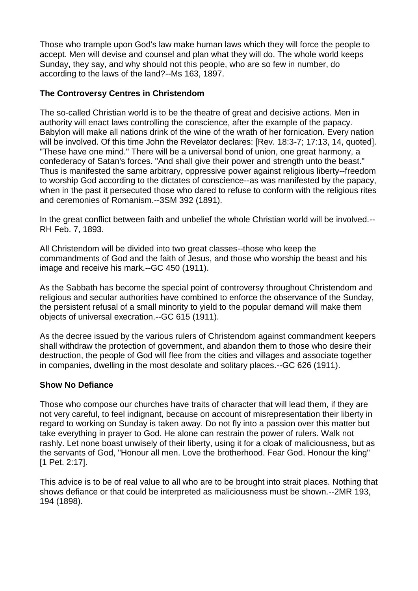Those who trample upon God's law make human laws which they will force the people to accept. Men will devise and counsel and plan what they will do. The whole world keeps Sunday, they say, and why should not this people, who are so few in number, do according to the laws of the land?--Ms 163, 1897.

## **The Controversy Centres in Christendom**

The so-called Christian world is to be the theatre of great and decisive actions. Men in authority will enact laws controlling the conscience, after the example of the papacy. Babylon will make all nations drink of the wine of the wrath of her fornication. Every nation will be involved. Of this time John the Revelator declares: [Rev. 18:3-7; 17:13, 14, quoted]. "These have one mind." There will be a universal bond of union, one great harmony, a confederacy of Satan's forces. "And shall give their power and strength unto the beast." Thus is manifested the same arbitrary, oppressive power against religious liberty--freedom to worship God according to the dictates of conscience--as was manifested by the papacy, when in the past it persecuted those who dared to refuse to conform with the religious rites and ceremonies of Romanism.--3SM 392 (1891).

In the great conflict between faith and unbelief the whole Christian world will be involved.-- RH Feb. 7, 1893.

All Christendom will be divided into two great classes--those who keep the commandments of God and the faith of Jesus, and those who worship the beast and his image and receive his mark.--GC 450 (1911).

As the Sabbath has become the special point of controversy throughout Christendom and religious and secular authorities have combined to enforce the observance of the Sunday, the persistent refusal of a small minority to yield to the popular demand will make them objects of universal execration.--GC 615 (1911).

As the decree issued by the various rulers of Christendom against commandment keepers shall withdraw the protection of government, and abandon them to those who desire their destruction, the people of God will flee from the cities and villages and associate together in companies, dwelling in the most desolate and solitary places.--GC 626 (1911).

# **Show No Defiance**

Those who compose our churches have traits of character that will lead them, if they are not very careful, to feel indignant, because on account of misrepresentation their liberty in regard to working on Sunday is taken away. Do not fly into a passion over this matter but take everything in prayer to God. He alone can restrain the power of rulers. Walk not rashly. Let none boast unwisely of their liberty, using it for a cloak of maliciousness, but as the servants of God, "Honour all men. Love the brotherhood. Fear God. Honour the king" [1 Pet. 2:17].

This advice is to be of real value to all who are to be brought into strait places. Nothing that shows defiance or that could be interpreted as maliciousness must be shown.--2MR 193, 194 (1898).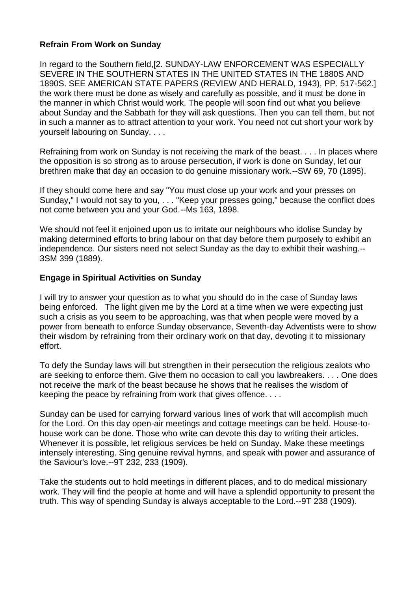## **Refrain From Work on Sunday**

In regard to the Southern field,[2. SUNDAY-LAW ENFORCEMENT WAS ESPECIALLY SEVERE IN THE SOUTHERN STATES IN THE UNITED STATES IN THE 1880S AND 1890S. SEE AMERICAN STATE PAPERS (REVIEW AND HERALD, 1943), PP. 517-562.] the work there must be done as wisely and carefully as possible, and it must be done in the manner in which Christ would work. The people will soon find out what you believe about Sunday and the Sabbath for they will ask questions. Then you can tell them, but not in such a manner as to attract attention to your work. You need not cut short your work by yourself labouring on Sunday. . . .

Refraining from work on Sunday is not receiving the mark of the beast. . . . In places where the opposition is so strong as to arouse persecution, if work is done on Sunday, let our brethren make that day an occasion to do genuine missionary work.--SW 69, 70 (1895).

If they should come here and say "You must close up your work and your presses on Sunday," I would not say to you, . . . "Keep your presses going," because the conflict does not come between you and your God.--Ms 163, 1898.

We should not feel it enjoined upon us to irritate our neighbours who idolise Sunday by making determined efforts to bring labour on that day before them purposely to exhibit an independence. Our sisters need not select Sunday as the day to exhibit their washing.-- 3SM 399 (1889).

#### **Engage in Spiritual Activities on Sunday**

I will try to answer your question as to what you should do in the case of Sunday laws being enforced. The light given me by the Lord at a time when we were expecting just such a crisis as you seem to be approaching, was that when people were moved by a power from beneath to enforce Sunday observance, Seventh-day Adventists were to show their wisdom by refraining from their ordinary work on that day, devoting it to missionary effort.

To defy the Sunday laws will but strengthen in their persecution the religious zealots who are seeking to enforce them. Give them no occasion to call you lawbreakers. . . . One does not receive the mark of the beast because he shows that he realises the wisdom of keeping the peace by refraining from work that gives offence. . . .

Sunday can be used for carrying forward various lines of work that will accomplish much for the Lord. On this day open-air meetings and cottage meetings can be held. House-tohouse work can be done. Those who write can devote this day to writing their articles. Whenever it is possible, let religious services be held on Sunday. Make these meetings intensely interesting. Sing genuine revival hymns, and speak with power and assurance of the Saviour's love.--9T 232, 233 (1909).

Take the students out to hold meetings in different places, and to do medical missionary work. They will find the people at home and will have a splendid opportunity to present the truth. This way of spending Sunday is always acceptable to the Lord.--9T 238 (1909).